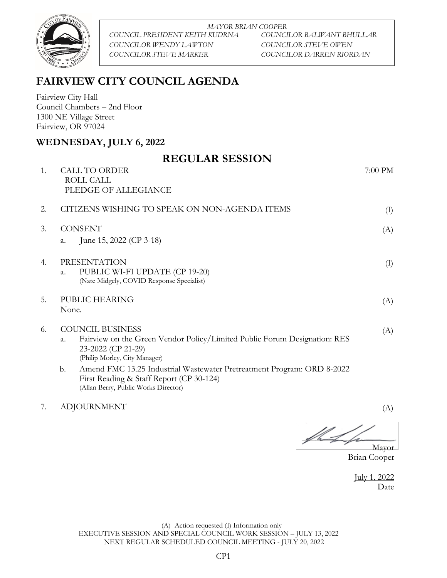

*MAYOR BRIAN COOPER COUNCIL PRESIDENT KEITH KUDRNA COUNCILOR BALWANT BHULLAR COUNCILOR WENDY LAWTON COUNCILOR STEVE OWEN COUNCILOR STEVE MARKER COUNCILOR DARREN RIORDAN*

## **FAIRVIEW CITY COUNCIL AGENDA**

Fairview City Hall Council Chambers – 2nd Floor 1300 NE Village Street Fairview, OR 97024

## **WEDNESDAY, JULY 6, 2022**

|    | <b>REGULAR SESSION</b>                                                                                                   |         |
|----|--------------------------------------------------------------------------------------------------------------------------|---------|
| 1. | <b>CALL TO ORDER</b>                                                                                                     | 7:00 PM |
|    | ROLL CALL                                                                                                                |         |
|    | PLEDGE OF ALLEGIANCE                                                                                                     |         |
| 2. | CITIZENS WISHING TO SPEAK ON NON-AGENDA ITEMS                                                                            | (I)     |
| 3. | <b>CONSENT</b>                                                                                                           | (A)     |
|    | June 15, 2022 (CP 3-18)<br>a.                                                                                            |         |
| 4. | PRESENTATION                                                                                                             | (I)     |
|    | PUBLIC WI-FI UPDATE (CP 19-20)<br>a.<br>(Nate Midgely, COVID Response Specialist)                                        |         |
|    |                                                                                                                          |         |
| 5. | PUBLIC HEARING                                                                                                           | (A)     |
|    | None.                                                                                                                    |         |
| 6. | <b>COUNCIL BUSINESS</b>                                                                                                  | (A)     |
|    | Fairview on the Green Vendor Policy/Limited Public Forum Designation: RES<br>a.<br>23-2022 (CP 21-29)                    |         |
|    | (Philip Morley, City Manager)                                                                                            |         |
|    | Amend FMC 13.25 Industrial Wastewater Pretreatment Program: ORD 8-2022<br>b.<br>First Reading & Staff Report (CP 30-124) |         |
|    | (Allan Berry, Public Works Director)                                                                                     |         |

7. ADJOURNMENT (A)

**\_\_\_\_\_\_\_\_\_\_\_\_\_\_\_\_\_\_\_\_\_** 

Mayor Brian Cooper

July 1, 2022 Date

(A) Action requested (I) Information only EXECUTIVE SESSION AND SPECIAL COUNCIL WORK SESSION – JULY 13, 2022 NEXT REGULAR SCHEDULED COUNCIL MEETING - JULY 20, 2022